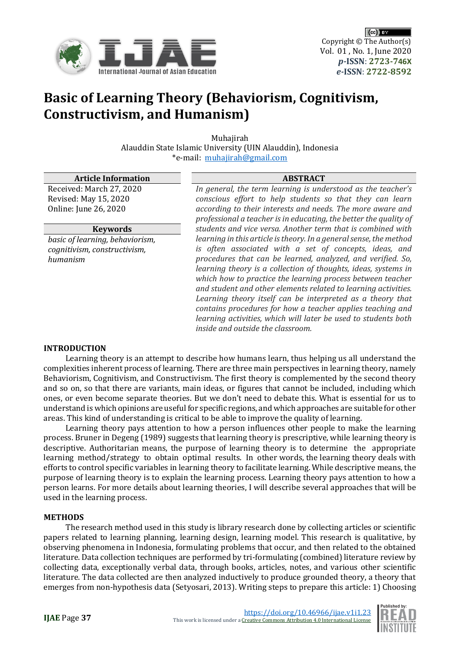

 $(cc)$  BY Copyright © The Author(s) Vol. 01 , No. 1, June 2020 *p-***ISSN**: **[2723-7](http://u.lipi.go.id/1593190689)4[6X](http://u.lipi.go.id/1593190689)** *e-***ISSN**: **[2722-8592](http://u.lipi.go.id/1593190689)**

# **Basic of Learning Theory (Behaviorism, Cognitivism, Constructivism, and Humanism)**

Muhajirah Alauddin State Islamic University (UIN Alauddin), Indonesia \*e-mail: [muhajirah@gmail.com](mailto:muhajirah@gmail.com)

| <b>Article Information</b>                                                  | <b>ABSTRACT</b>                                                                                                                                                                                                                                                                                                                                                                                                                                                                                                                                                                                                                  |
|-----------------------------------------------------------------------------|----------------------------------------------------------------------------------------------------------------------------------------------------------------------------------------------------------------------------------------------------------------------------------------------------------------------------------------------------------------------------------------------------------------------------------------------------------------------------------------------------------------------------------------------------------------------------------------------------------------------------------|
| Received: March 27, 2020<br>Revised: May 15, 2020                           | In general, the term learning is understood as the teacher's<br>conscious effort to help students so that they can learn                                                                                                                                                                                                                                                                                                                                                                                                                                                                                                         |
| Online: June 26, 2020                                                       | according to their interests and needs. The more aware and                                                                                                                                                                                                                                                                                                                                                                                                                                                                                                                                                                       |
|                                                                             | professional a teacher is in educating, the better the quality of                                                                                                                                                                                                                                                                                                                                                                                                                                                                                                                                                                |
| <b>Keywords</b>                                                             | students and vice versa. Another term that is combined with                                                                                                                                                                                                                                                                                                                                                                                                                                                                                                                                                                      |
| basic of learning, behaviorism,<br>cognitivism, constructivism,<br>humanism | learning in this article is theory. In a general sense, the method<br>is often associated with a set of concepts, ideas, and<br>procedures that can be learned, analyzed, and verified. So,<br>learning theory is a collection of thoughts, ideas, systems in<br>which how to practice the learning process between teacher<br>and student and other elements related to learning activities.<br>Learning theory itself can be interpreted as a theory that<br>contains procedures for how a teacher applies teaching and<br>learning activities, which will later be used to students both<br>inside and outside the classroom. |
| <b>INTRODUCTION</b>                                                         |                                                                                                                                                                                                                                                                                                                                                                                                                                                                                                                                                                                                                                  |

Learning theory is an attempt to describe how humans learn, thus helping us all understand the complexities inherent process of learning. There are three main perspectives in learning theory, namely Behaviorism, Cognitivism, and Constructivism. The first theory is complemented by the second theory and so on, so that there are variants, main ideas, or figures that cannot be included, including which ones, or even become separate theories. But we don't need to debate this. What is essential for us to understand is which opinions are useful for specific regions, and which approaches are suitable for other areas. This kind of understanding is critical to be able to improve the quality of learning.

Learning theory pays attention to how a person influences other people to make the learning process. Bruner in Degeng (1989) suggests that learning theory is prescriptive, while learning theory is descriptive. Authoritarian means, the purpose of learning theory is to determine the appropriate learning method/strategy to obtain optimal results. In other words, the learning theory deals with efforts to control specific variables in learning theory to facilitate learning. While descriptive means, the purpose of learning theory is to explain the learning process. Learning theory pays attention to how a person learns. For more details about learning theories, I will describe several approaches that will be used in the learning process.

### **METHODS**

The research method used in this study is library research done by collecting articles or scientific papers related to learning planning, learning design, learning model. This research is qualitative, by observing phenomena in Indonesia, formulating problems that occur, and then related to the obtained literature. Data collection techniques are performed by tri-formulating (combined) literature review by collecting data, exceptionally verbal data, through books, articles, notes, and various other scientific literature. The data collected are then analyzed inductively to produce grounded theory, a theory that emerges from non-hypothesis data (Setyosari, 2013). Writing steps to prepare this article: 1) Choosing

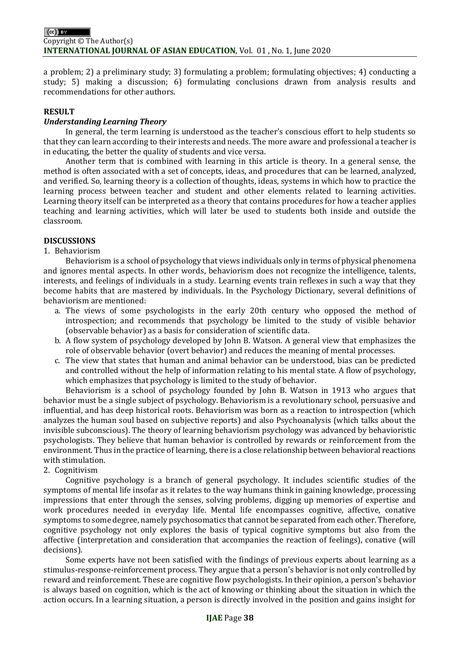a problem; 2) a preliminary study; 3) formulating a problem; formulating objectives; 4) conducting a study; 5) making a discussion; 6) formulating conclusions drawn from analysis results and recommendations for other authors.

# **RESULT**

# *Understanding Learning Theory*

In general, the term learning is understood as the teacher's conscious effort to help students so that they can learn according to their interests and needs. The more aware and professional a teacher is in educating, the better the quality of students and vice versa.

Another term that is combined with learning in this article is theory. In a general sense, the method is often associated with a set of concepts, ideas, and procedures that can be learned, analyzed, and verified. So, learning theory is a collection of thoughts, ideas, systems in which how to practice the learning process between teacher and student and other elements related to learning activities. Learning theory itself can be interpreted as a theory that contains procedures for how a teacher applies teaching and learning activities, which will later be used to students both inside and outside the classroom.

# **DISCUSSIONS**

### 1. Behaviorism

Behaviorism is a school of psychology that views individuals only in terms of physical phenomena and ignores mental aspects. In other words, behaviorism does not recognize the intelligence, talents, interests, and feelings of individuals in a study. Learning events train reflexes in such a way that they become habits that are mastered by individuals. In the Psychology Dictionary, several definitions of behaviorism are mentioned:

- a. The views of some psychologists in the early 20th century who opposed the method of introspection; and recommends that psychology be limited to the study of visible behavior (observable behavior) as a basis for consideration of scientific data.
- b. A flow system of psychology developed by John B. Watson. A general view that emphasizes the role of observable behavior (overt behavior) and reduces the meaning of mental processes.
- c. The view that states that human and animal behavior can be understood, bias can be predicted and controlled without the help of information relating to his mental state. A flow of psychology, which emphasizes that psychology is limited to the study of behavior.

Behaviorism is a school of psychology founded by John B. Watson in 1913 who argues that behavior must be a single subject of psychology. Behaviorism is a revolutionary school, persuasive and influential, and has deep historical roots. Behaviorism was born as a reaction to introspection (which analyzes the human soul based on subjective reports) and also Psychoanalysis (which talks about the invisible subconscious). The theory of learning behaviorism psychology was advanced by behavioristic psychologists. They believe that human behavior is controlled by rewards or reinforcement from the environment. Thus in the practice of learning, there is a close relationship between behavioral reactions with stimulation.

### 2. Cognitivism

Cognitive psychology is a branch of general psychology. It includes scientific studies of the symptoms of mental life insofar as it relates to the way humans think in gaining knowledge, processing impressions that enter through the senses, solving problems, digging up memories of expertise and work procedures needed in everyday life. Mental life encompasses cognitive, affective, conative symptoms to some degree, namely psychosomatics that cannot be separated from each other. Therefore, cognitive psychology not only explores the basis of typical cognitive symptoms but also from the affective (interpretation and consideration that accompanies the reaction of feelings), conative (will decisions).

Some experts have not been satisfied with the findings of previous experts about learning as a stimulus-response-reinforcement process. They argue that a person's behavior is not only controlled by reward and reinforcement. These are cognitive flow psychologists. In their opinion, a person's behavior is always based on cognition, which is the act of knowing or thinking about the situation in which the action occurs. In a learning situation, a person is directly involved in the position and gains insight for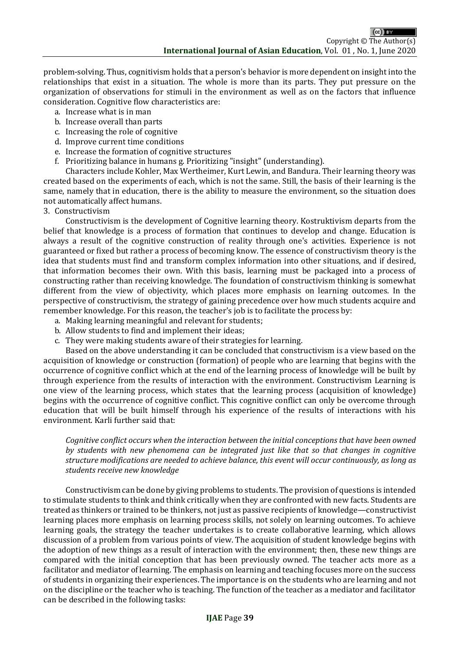problem-solving. Thus, cognitivism holds that a person's behavior is more dependent on insight into the relationships that exist in a situation. The whole is more than its parts. They put pressure on the organization of observations for stimuli in the environment as well as on the factors that influence consideration. Cognitive flow characteristics are:

- a. Increase what is in man
- b. Increase overall than parts
- c. Increasing the role of cognitive
- d. Improve current time conditions
- e. Increase the formation of cognitive structures
- f. Prioritizing balance in humans g. Prioritizing "insight" (understanding).

Characters include Kohler, Max Wertheimer, Kurt Lewin, and Bandura. Their learning theory was created based on the experiments of each, which is not the same. Still, the basis of their learning is the same, namely that in education, there is the ability to measure the environment, so the situation does not automatically affect humans.

3. Constructivism

Constructivism is the development of Cognitive learning theory. Kostruktivism departs from the belief that knowledge is a process of formation that continues to develop and change. Education is always a result of the cognitive construction of reality through one's activities. Experience is not guaranteed or fixed but rather a process of becoming know. The essence of constructivism theory is the idea that students must find and transform complex information into other situations, and if desired, that information becomes their own. With this basis, learning must be packaged into a process of constructing rather than receiving knowledge. The foundation of constructivism thinking is somewhat different from the view of objectivity, which places more emphasis on learning outcomes. In the perspective of constructivism, the strategy of gaining precedence over how much students acquire and remember knowledge. For this reason, the teacher's job is to facilitate the process by:

- a. Making learning meaningful and relevant for students;
- b. Allow students to find and implement their ideas;
- c. They were making students aware of their strategies for learning.

Based on the above understanding it can be concluded that constructivism is a view based on the acquisition of knowledge or construction (formation) of people who are learning that begins with the occurrence of cognitive conflict which at the end of the learning process of knowledge will be built by through experience from the results of interaction with the environment. Constructivism Learning is one view of the learning process, which states that the learning process (acquisition of knowledge) begins with the occurrence of cognitive conflict. This cognitive conflict can only be overcome through education that will be built himself through his experience of the results of interactions with his environment. Karli further said that:

*Cognitive conflict occurs when the interaction between the initial conceptions that have been owned by students with new phenomena can be integrated just like that so that changes in cognitive structure modifications are needed to achieve balance, this event will occur continuously, as long as students receive new knowledge* 

Constructivism can be done by giving problems to students. The provision of questions is intended to stimulate students to think and think critically when they are confronted with new facts. Students are treated as thinkers or trained to be thinkers, not just as passive recipients of knowledge—constructivist learning places more emphasis on learning process skills, not solely on learning outcomes. To achieve learning goals, the strategy the teacher undertakes is to create collaborative learning, which allows discussion of a problem from various points of view. The acquisition of student knowledge begins with the adoption of new things as a result of interaction with the environment; then, these new things are compared with the initial conception that has been previously owned. The teacher acts more as a facilitator and mediator of learning. The emphasis on learning and teaching focuses more on the success of students in organizing their experiences. The importance is on the students who are learning and not on the discipline or the teacher who is teaching. The function of the teacher as a mediator and facilitator can be described in the following tasks: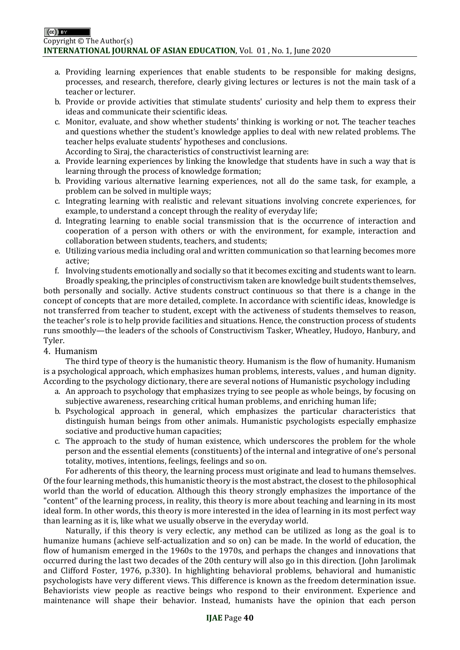#### $(cc)$  BY Copyright © The Author(s) **INTERNATIONAL JOURNAL OF ASIAN EDUCATION**, Vol. 01 , No. 1, June 2020

- a. Providing learning experiences that enable students to be responsible for making designs, processes, and research, therefore, clearly giving lectures or lectures is not the main task of a teacher or lecturer.
- b. Provide or provide activities that stimulate students' curiosity and help them to express their ideas and communicate their scientific ideas.
- c. Monitor, evaluate, and show whether students' thinking is working or not. The teacher teaches and questions whether the student's knowledge applies to deal with new related problems. The teacher helps evaluate students' hypotheses and conclusions.

According to Siraj, the characteristics of constructivist learning are:

- a. Provide learning experiences by linking the knowledge that students have in such a way that is learning through the process of knowledge formation;
- b. Providing various alternative learning experiences, not all do the same task, for example, a problem can be solved in multiple ways;
- c. Integrating learning with realistic and relevant situations involving concrete experiences, for example, to understand a concept through the reality of everyday life;
- d. Integrating learning to enable social transmission that is the occurrence of interaction and cooperation of a person with others or with the environment, for example, interaction and collaboration between students, teachers, and students;
- e. Utilizing various media including oral and written communication so that learning becomes more active;
- f. Involving students emotionally and socially so that it becomes exciting and students want to learn. Broadly speaking, the principles of constructivism taken are knowledge built students themselves,

both personally and socially. Active students construct continuous so that there is a change in the concept of concepts that are more detailed, complete. In accordance with scientific ideas, knowledge is not transferred from teacher to student, except with the activeness of students themselves to reason, the teacher's role is to help provide facilities and situations. Hence, the construction process of students runs smoothly—the leaders of the schools of Constructivism Tasker, Wheatley, Hudoyo, Hanbury, and Tyler.

# 4. Humanism

The third type of theory is the humanistic theory. Humanism is the flow of humanity. Humanism is a psychological approach, which emphasizes human problems, interests, values , and human dignity. According to the psychology dictionary, there are several notions of Humanistic psychology including

- a. An approach to psychology that emphasizes trying to see people as whole beings, by focusing on subjective awareness, researching critical human problems, and enriching human life;
- b. Psychological approach in general, which emphasizes the particular characteristics that distinguish human beings from other animals. Humanistic psychologists especially emphasize sociative and productive human capacities;
- c. The approach to the study of human existence, which underscores the problem for the whole person and the essential elements (constituents) of the internal and integrative of one's personal totality, motives, intentions, feelings, feelings and so on.

For adherents of this theory, the learning process must originate and lead to humans themselves. Of the four learning methods, this humanistic theory is the most abstract, the closest to the philosophical world than the world of education. Although this theory strongly emphasizes the importance of the "content" of the learning process, in reality, this theory is more about teaching and learning in its most ideal form. In other words, this theory is more interested in the idea of learning in its most perfect way than learning as it is, like what we usually observe in the everyday world.

Naturally, if this theory is very eclectic, any method can be utilized as long as the goal is to humanize humans (achieve self-actualization and so on) can be made. In the world of education, the flow of humanism emerged in the 1960s to the 1970s, and perhaps the changes and innovations that occurred during the last two decades of the 20th century will also go in this direction. (John Jarolimak and Clifford Foster, 1976, p.330). In highlighting behavioral problems, behavioral and humanistic psychologists have very different views. This difference is known as the freedom determination issue. Behaviorists view people as reactive beings who respond to their environment. Experience and maintenance will shape their behavior. Instead, humanists have the opinion that each person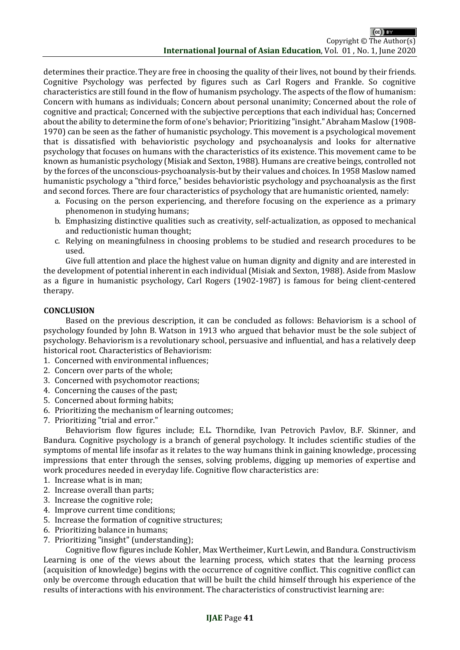determines their practice. They are free in choosing the quality of their lives, not bound by their friends. Cognitive Psychology was perfected by figures such as Carl Rogers and Frankle. So cognitive characteristics are still found in the flow of humanism psychology. The aspects of the flow of humanism: Concern with humans as individuals; Concern about personal unanimity; Concerned about the role of cognitive and practical; Concerned with the subjective perceptions that each individual has; Concerned about the ability to determine the form of one's behavior; Prioritizing "insight." Abraham Maslow (1908- 1970) can be seen as the father of humanistic psychology. This movement is a psychological movement that is dissatisfied with behavioristic psychology and psychoanalysis and looks for alternative psychology that focuses on humans with the characteristics of its existence. This movement came to be known as humanistic psychology (Misiak and Sexton, 1988). Humans are creative beings, controlled not by the forces of the unconscious-psychoanalysis-but by their values and choices. In 1958 Maslow named humanistic psychology a "third force," besides behavioristic psychology and psychoanalysis as the first and second forces. There are four characteristics of psychology that are humanistic oriented, namely:

- a. Focusing on the person experiencing, and therefore focusing on the experience as a primary phenomenon in studying humans;
- b. Emphasizing distinctive qualities such as creativity, self-actualization, as opposed to mechanical and reductionistic human thought;
- c. Relying on meaningfulness in choosing problems to be studied and research procedures to be used.

Give full attention and place the highest value on human dignity and dignity and are interested in the development of potential inherent in each individual (Misiak and Sexton, 1988). Aside from Maslow as a figure in humanistic psychology, Carl Rogers (1902-1987) is famous for being client-centered therapy.

# **CONCLUSION**

Based on the previous description, it can be concluded as follows: Behaviorism is a school of psychology founded by John B. Watson in 1913 who argued that behavior must be the sole subject of psychology. Behaviorism is a revolutionary school, persuasive and influential, and has a relatively deep historical root. Characteristics of Behaviorism:

1. Concerned with environmental influences;

- 2. Concern over parts of the whole;
- 3. Concerned with psychomotor reactions;
- 4. Concerning the causes of the past;
- 5. Concerned about forming habits;
- 6. Prioritizing the mechanism of learning outcomes;
- 7. Prioritizing "trial and error."

Behaviorism flow figures include; E.L. Thorndike, Ivan Petrovich Pavlov, B.F. Skinner, and Bandura. Cognitive psychology is a branch of general psychology. It includes scientific studies of the symptoms of mental life insofar as it relates to the way humans think in gaining knowledge, processing impressions that enter through the senses, solving problems, digging up memories of expertise and work procedures needed in everyday life. Cognitive flow characteristics are:

- 1. Increase what is in man;
- 2. Increase overall than parts;
- 3. Increase the cognitive role;
- 4. Improve current time conditions;
- 5. Increase the formation of cognitive structures;
- 6. Prioritizing balance in humans;
- 7. Prioritizing "insight" (understanding);

Cognitive flow figures include Kohler, Max Wertheimer, Kurt Lewin, and Bandura. Constructivism Learning is one of the views about the learning process, which states that the learning process (acquisition of knowledge) begins with the occurrence of cognitive conflict. This cognitive conflict can only be overcome through education that will be built the child himself through his experience of the results of interactions with his environment. The characteristics of constructivist learning are: